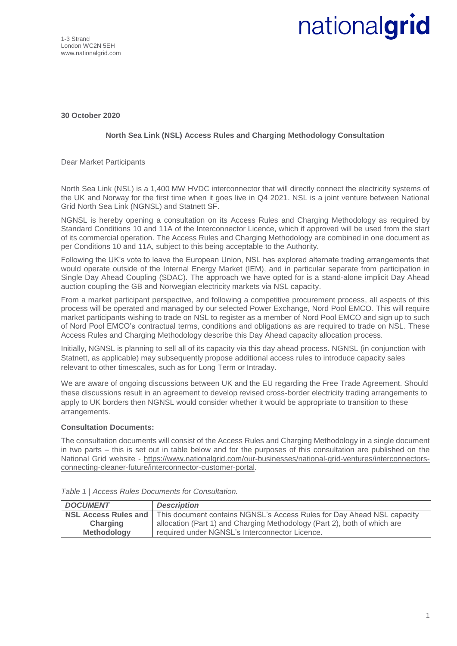1-3 Strand London WC2N 5EH www.nationalgrid.com

## nationalgrid

**30 October 2020**

## **North Sea Link (NSL) Access Rules and Charging Methodology Consultation**

Dear Market Participants

North Sea Link (NSL) is a 1,400 MW HVDC interconnector that will directly connect the electricity systems of the UK and Norway for the first time when it goes live in Q4 2021. NSL is a joint venture between National Grid North Sea Link (NGNSL) and Statnett SF.

NGNSL is hereby opening a consultation on its Access Rules and Charging Methodology as required by Standard Conditions 10 and 11A of the Interconnector Licence, which if approved will be used from the start of its commercial operation. The Access Rules and Charging Methodology are combined in one document as per Conditions 10 and 11A, subject to this being acceptable to the Authority.

Following the UK's vote to leave the European Union, NSL has explored alternate trading arrangements that would operate outside of the Internal Energy Market (IEM), and in particular separate from participation in Single Day Ahead Coupling (SDAC). The approach we have opted for is a stand-alone implicit Day Ahead auction coupling the GB and Norwegian electricity markets via NSL capacity.

From a market participant perspective, and following a competitive procurement process, all aspects of this process will be operated and managed by our selected Power Exchange, Nord Pool EMCO. This will require market participants wishing to trade on NSL to register as a member of Nord Pool EMCO and sign up to such of Nord Pool EMCO's contractual terms, conditions and obligations as are required to trade on NSL. These Access Rules and Charging Methodology describe this Day Ahead capacity allocation process.

Initially, NGNSL is planning to sell all of its capacity via this day ahead process. NGNSL (in conjunction with Statnett, as applicable) may subsequently propose additional access rules to introduce capacity sales relevant to other timescales, such as for Long Term or Intraday.

We are aware of ongoing discussions between UK and the EU regarding the Free Trade Agreement. Should these discussions result in an agreement to develop revised cross-border electricity trading arrangements to apply to UK borders then NGNSL would consider whether it would be appropriate to transition to these arrangements.

## **Consultation Documents:**

The consultation documents will consist of the Access Rules and Charging Methodology in a single document in two parts – this is set out in table below and for the purposes of this consultation are published on the National Grid website - [https://www.nationalgrid.com/our-businesses/national-grid-ventures/interconnectors](https://www.nationalgrid.com/our-businesses/national-grid-ventures/interconnectors-connecting-cleaner-future/interconnector-customer-portal)[connecting-cleaner-future/interconnector-customer-portal.](https://www.nationalgrid.com/our-businesses/national-grid-ventures/interconnectors-connecting-cleaner-future/interconnector-customer-portal)

| <b>DOCUMENT</b>             | <b>Description</b>                                                       |
|-----------------------------|--------------------------------------------------------------------------|
| <b>NSL Access Rules and</b> | This document contains NGNSL's Access Rules for Day Ahead NSL capacity   |
| Charging                    | allocation (Part 1) and Charging Methodology (Part 2), both of which are |
| <b>Methodology</b>          | required under NGNSL's Interconnector Licence.                           |

*Table 1 | Access Rules Documents for Consultation.*